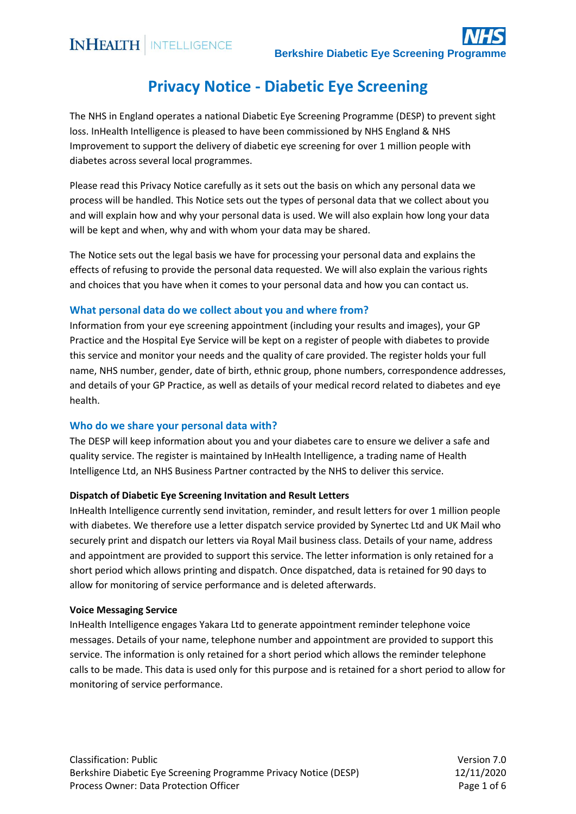## **Privacy Notice - Diabetic Eye Screening**

The NHS in England operates a national Diabetic Eye Screening Programme (DESP) to prevent sight loss. InHealth Intelligence is pleased to have been commissioned by NHS England & NHS Improvement to support the delivery of diabetic eye screening for over 1 million people with diabetes across several local programmes.

Please read this Privacy Notice carefully as it sets out the basis on which any personal data we process will be handled. This Notice sets out the types of personal data that we collect about you and will explain how and why your personal data is used. We will also explain how long your data will be kept and when, why and with whom your data may be shared.

The Notice sets out the legal basis we have for processing your personal data and explains the effects of refusing to provide the personal data requested. We will also explain the various rights and choices that you have when it comes to your personal data and how you can contact us.

#### **What personal data do we collect about you and where from?**

Information from your eye screening appointment (including your results and images), your GP Practice and the Hospital Eye Service will be kept on a register of people with diabetes to provide this service and monitor your needs and the quality of care provided. The register holds your full name, NHS number, gender, date of birth, ethnic group, phone numbers, correspondence addresses, and details of your GP Practice, as well as details of your medical record related to diabetes and eye health.

#### **Who do we share your personal data with?**

The DESP will keep information about you and your diabetes care to ensure we deliver a safe and quality service. The register is maintained by InHealth Intelligence, a trading name of Health Intelligence Ltd, an NHS Business Partner contracted by the NHS to deliver this service.

#### **Dispatch of Diabetic Eye Screening Invitation and Result Letters**

InHealth Intelligence currently send invitation, reminder, and result letters for over 1 million people with diabetes. We therefore use a letter dispatch service provided by Synertec Ltd and UK Mail who securely print and dispatch our letters via Royal Mail business class. Details of your name, address and appointment are provided to support this service. The letter information is only retained for a short period which allows printing and dispatch. Once dispatched, data is retained for 90 days to allow for monitoring of service performance and is deleted afterwards.

#### **Voice Messaging Service**

InHealth Intelligence engages Yakara Ltd to generate appointment reminder telephone voice messages. Details of your name, telephone number and appointment are provided to support this service. The information is only retained for a short period which allows the reminder telephone calls to be made. This data is used only for this purpose and is retained for a short period to allow for monitoring of service performance.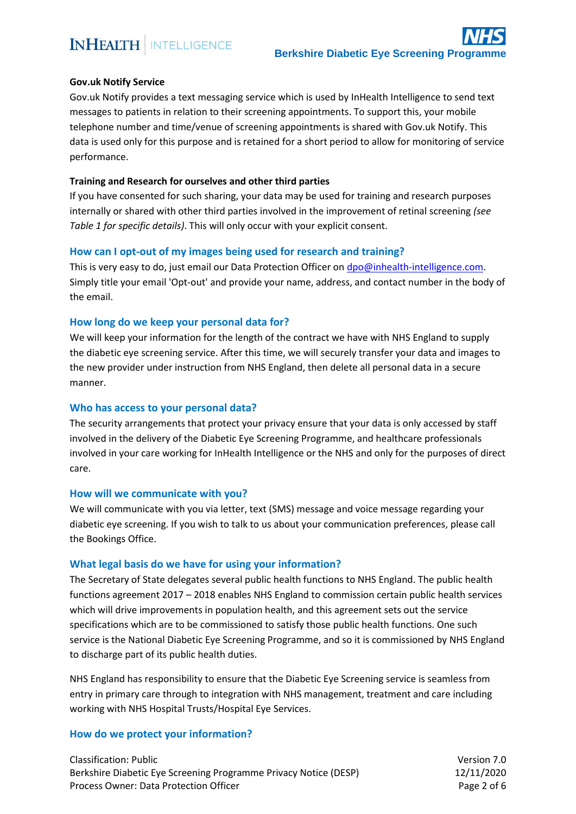#### **Gov.uk Notify Service**

Gov.uk Notify provides a text messaging service which is used by InHealth Intelligence to send text messages to patients in relation to their screening appointments. To support this, your mobile telephone number and time/venue of screening appointments is shared with Gov.uk Notify. This data is used only for this purpose and is retained for a short period to allow for monitoring of service performance.

#### **Training and Research for ourselves and other third parties**

If you have consented for such sharing, your data may be used for training and research purposes internally or shared with other third parties involved in the improvement of retinal screening *(see Table 1 for specific details)*. This will only occur with your explicit consent.

#### **How can I opt-out of my images being used for research and training?**

This is very easy to do, just email our Data Protection Officer o[n dpo@inhealth-intelligence.com.](mailto:dpo@inhealth-intelligence.com) Simply title your email 'Opt-out' and provide your name, address, and contact number in the body of the email.

#### **How long do we keep your personal data for?**

We will keep your information for the length of the contract we have with NHS England to supply the diabetic eye screening service. After this time, we will securely transfer your data and images to the new provider under instruction from NHS England, then delete all personal data in a secure manner.

#### **Who has access to your personal data?**

The security arrangements that protect your privacy ensure that your data is only accessed by staff involved in the delivery of the Diabetic Eye Screening Programme, and healthcare professionals involved in your care working for InHealth Intelligence or the NHS and only for the purposes of direct care.

#### **How will we communicate with you?**

We will communicate with you via letter, text (SMS) message and voice message regarding your diabetic eye screening. If you wish to talk to us about your communication preferences, please call the Bookings Office.

#### **What legal basis do we have for using your information?**

The Secretary of State delegates several public health functions to NHS England. The public health functions agreement 2017 – 2018 enables NHS England to commission certain public health services which will drive improvements in population health, and this agreement sets out the service specifications which are to be commissioned to satisfy those public health functions. One such service is the National Diabetic Eye Screening Programme, and so it is commissioned by NHS England to discharge part of its public health duties.

NHS England has responsibility to ensure that the Diabetic Eye Screening service is seamless from entry in primary care through to integration with NHS management, treatment and care including working with NHS Hospital Trusts/Hospital Eye Services.

#### **How do we protect your information?**

Classification: Public Version 7.0 Berkshire Diabetic Eye Screening Programme Privacy Notice (DESP) 12/11/2020 Process Owner: Data Protection Officer **Page 2 of 6** and 2 of 6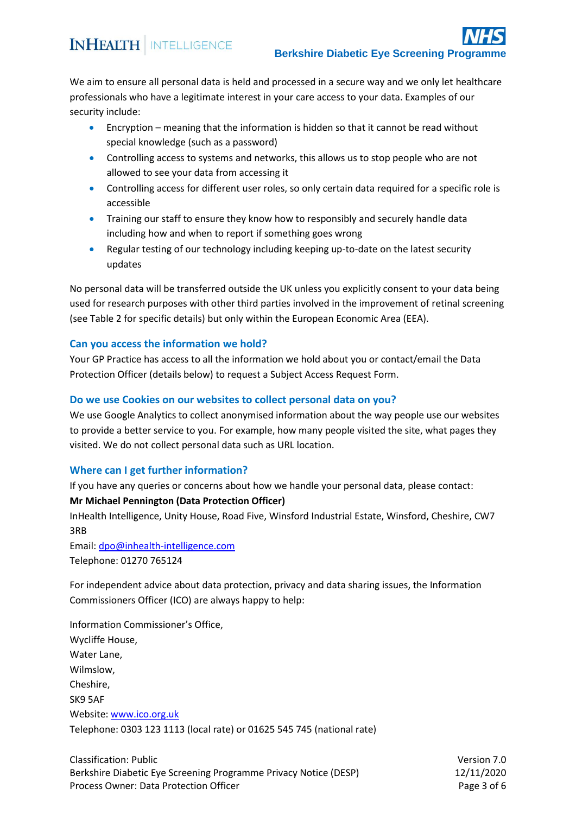## **INHEALTH** INTELLIGENCE

**Berkshire Diabetic Eye Screening Program** 

We aim to ensure all personal data is held and processed in a secure way and we only let healthcare professionals who have a legitimate interest in your care access to your data. Examples of our security include:

- Encryption meaning that the information is hidden so that it cannot be read without special knowledge (such as a password)
- Controlling access to systems and networks, this allows us to stop people who are not allowed to see your data from accessing it
- Controlling access for different user roles, so only certain data required for a specific role is accessible
- Training our staff to ensure they know how to responsibly and securely handle data including how and when to report if something goes wrong
- Regular testing of our technology including keeping up-to-date on the latest security updates

No personal data will be transferred outside the UK unless you explicitly consent to your data being used for research purposes with other third parties involved in the improvement of retinal screening (see Table 2 for specific details) but only within the European Economic Area (EEA).

#### **Can you access the information we hold?**

Your GP Practice has access to all the information we hold about you or contact/email the Data Protection Officer (details below) to request a Subject Access Request Form.

#### **Do we use Cookies on our websites to collect personal data on you?**

We use Google Analytics to collect anonymised information about the way people use our websites to provide a better service to you. For example, how many people visited the site, what pages they visited. We do not collect personal data such as URL location.

#### **Where can I get further information?**

If you have any queries or concerns about how we handle your personal data, please contact:

#### **Mr Michael Pennington (Data Protection Officer)**

InHealth Intelligence, Unity House, Road Five, Winsford Industrial Estate, Winsford, Cheshire, CW7 3RB

Email: [dpo@inhealth-intelligence.com](mailto:dpo@inhealth-intelligence.com) Telephone: 01270 765124

For independent advice about data protection, privacy and data sharing issues, the Information Commissioners Officer (ICO) are always happy to help:

Information Commissioner's Office, Wycliffe House, Water Lane, Wilmslow, Cheshire, SK9 5AF Website[: www.ico.org.uk](file:///C:/Users/alexandra.richardson/AppData/Local/Microsoft/Windows/Temporary%20Internet%20Files/Content.Outlook/CV5A5PKA/www.ico.org.uk) Telephone: 0303 123 1113 (local rate) or 01625 545 745 (national rate)

Classification: Public Version 7.0 Berkshire Diabetic Eye Screening Programme Privacy Notice (DESP) 12/11/2020 Process Owner: Data Protection Officer **Page 3 of 6** and 2 of 6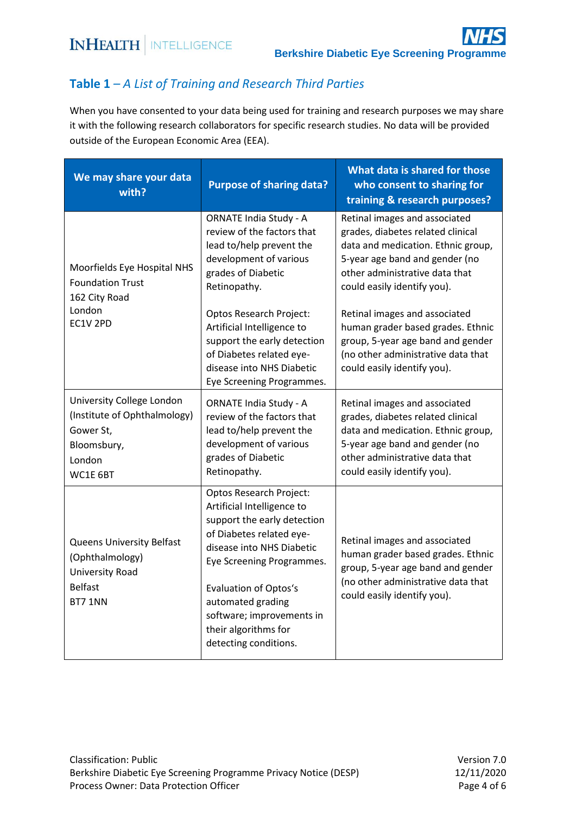### **Table 1** *– A List of Training and Research Third Parties*

When you have consented to your data being used for training and research purposes we may share it with the following research collaborators for specific research studies. No data will be provided outside of the European Economic Area (EEA).

| We may share your data<br>with?                                                                             | <b>Purpose of sharing data?</b>                                                                                                                                                                                                                                                                                      | What data is shared for those<br>who consent to sharing for<br>training & research purposes?                                                                                                                |
|-------------------------------------------------------------------------------------------------------------|----------------------------------------------------------------------------------------------------------------------------------------------------------------------------------------------------------------------------------------------------------------------------------------------------------------------|-------------------------------------------------------------------------------------------------------------------------------------------------------------------------------------------------------------|
| Moorfields Eye Hospital NHS<br><b>Foundation Trust</b><br>162 City Road<br>London<br>EC1V <sub>2PD</sub>    | <b>ORNATE India Study - A</b><br>review of the factors that<br>lead to/help prevent the<br>development of various<br>grades of Diabetic<br>Retinopathy.                                                                                                                                                              | Retinal images and associated<br>grades, diabetes related clinical<br>data and medication. Ethnic group,<br>5-year age band and gender (no<br>other administrative data that<br>could easily identify you). |
|                                                                                                             | <b>Optos Research Project:</b><br>Artificial Intelligence to<br>support the early detection<br>of Diabetes related eye-<br>disease into NHS Diabetic<br>Eye Screening Programmes.                                                                                                                                    | Retinal images and associated<br>human grader based grades. Ethnic<br>group, 5-year age band and gender<br>(no other administrative data that<br>could easily identify you).                                |
| University College London<br>(Institute of Ophthalmology)<br>Gower St,<br>Bloomsbury,<br>London<br>WC1E 6BT | <b>ORNATE India Study - A</b><br>review of the factors that<br>lead to/help prevent the<br>development of various<br>grades of Diabetic<br>Retinopathy.                                                                                                                                                              | Retinal images and associated<br>grades, diabetes related clinical<br>data and medication. Ethnic group,<br>5-year age band and gender (no<br>other administrative data that<br>could easily identify you). |
| Queens University Belfast<br>(Ophthalmology)<br>University Road<br><b>Belfast</b><br><b>BT7 1NN</b>         | <b>Optos Research Project:</b><br>Artificial Intelligence to<br>support the early detection<br>of Diabetes related eye-<br>disease into NHS Diabetic<br>Eye Screening Programmes.<br><b>Evaluation of Optos's</b><br>automated grading<br>software; improvements in<br>their algorithms for<br>detecting conditions. | Retinal images and associated<br>human grader based grades. Ethnic<br>group, 5-year age band and gender<br>(no other administrative data that<br>could easily identify you).                                |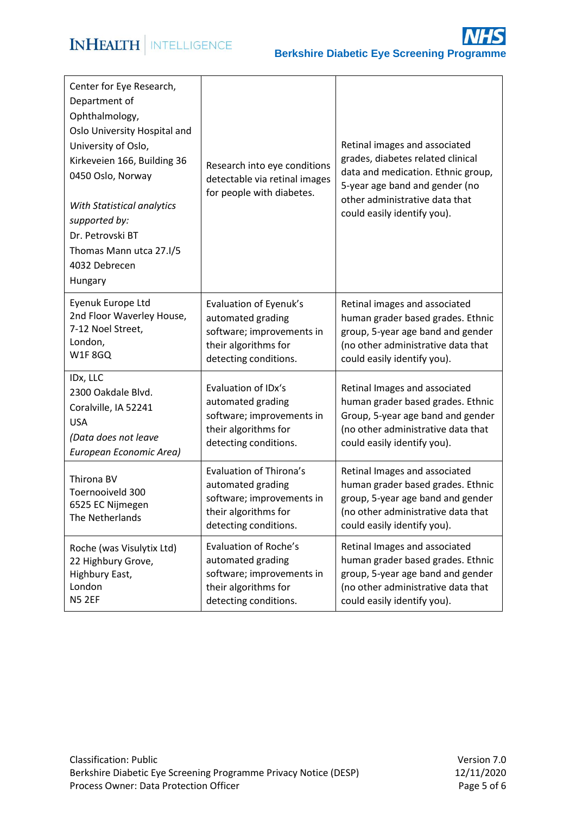| Center for Eye Research,<br>Department of<br>Ophthalmology,<br>Oslo University Hospital and<br>University of Oslo,<br>Kirkeveien 166, Building 36<br>0450 Oslo, Norway<br>With Statistical analytics<br>supported by:<br>Dr. Petrovski BT<br>Thomas Mann utca 27.I/5<br>4032 Debrecen<br>Hungary | Research into eye conditions<br>detectable via retinal images<br>for people with diabetes.                                        | Retinal images and associated<br>grades, diabetes related clinical<br>data and medication. Ethnic group,<br>5-year age band and gender (no<br>other administrative data that<br>could easily identify you). |
|--------------------------------------------------------------------------------------------------------------------------------------------------------------------------------------------------------------------------------------------------------------------------------------------------|-----------------------------------------------------------------------------------------------------------------------------------|-------------------------------------------------------------------------------------------------------------------------------------------------------------------------------------------------------------|
| Eyenuk Europe Ltd<br>2nd Floor Waverley House,<br>7-12 Noel Street,<br>London,<br><b>W1F8GQ</b>                                                                                                                                                                                                  | Evaluation of Eyenuk's<br>automated grading<br>software; improvements in<br>their algorithms for<br>detecting conditions.         | Retinal images and associated<br>human grader based grades. Ethnic<br>group, 5-year age band and gender<br>(no other administrative data that<br>could easily identify you).                                |
| IDx, LLC<br>2300 Oakdale Blvd.<br>Coralville, IA 52241<br><b>USA</b><br>(Data does not leave<br>European Economic Area)                                                                                                                                                                          | Evaluation of IDx's<br>automated grading<br>software; improvements in<br>their algorithms for<br>detecting conditions.            | Retinal Images and associated<br>human grader based grades. Ethnic<br>Group, 5-year age band and gender<br>(no other administrative data that<br>could easily identify you).                                |
| Thirona BV<br>Toernooiveld 300<br>6525 EC Nijmegen<br>The Netherlands                                                                                                                                                                                                                            | <b>Evaluation of Thirona's</b><br>automated grading<br>software; improvements in<br>their algorithms for<br>detecting conditions. | Retinal Images and associated<br>human grader based grades. Ethnic<br>group, 5-year age band and gender<br>(no other administrative data that<br>could easily identify you).                                |
| Roche (was Visulytix Ltd)<br>22 Highbury Grove,<br>Highbury East,<br>London<br><b>N5 2EF</b>                                                                                                                                                                                                     | <b>Evaluation of Roche's</b><br>automated grading<br>software; improvements in<br>their algorithms for<br>detecting conditions.   | Retinal Images and associated<br>human grader based grades. Ethnic<br>group, 5-year age band and gender<br>(no other administrative data that<br>could easily identify you).                                |